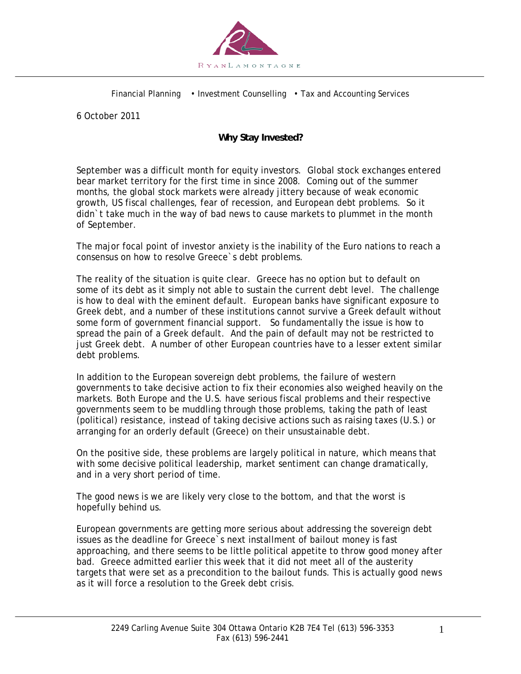

Financial Planning • Investment Counselling • Tax and Accounting Services

6 October 2011

## **Why Stay Invested?**

September was a difficult month for equity investors. Global stock exchanges entered bear market territory for the first time in since 2008. Coming out of the summer months, the global stock markets were already jittery because of weak economic growth, US fiscal challenges, fear of recession, and European debt problems. So it didn`t take much in the way of bad news to cause markets to plummet in the month of September.

The major focal point of investor anxiety is the inability of the Euro nations to reach a consensus on how to resolve Greece`s debt problems.

The reality of the situation is quite clear. Greece has no option but to default on some of its debt as it simply not able to sustain the current debt level. The challenge is how to deal with the eminent default. European banks have significant exposure to Greek debt, and a number of these institutions cannot survive a Greek default without some form of government financial support. So fundamentally the issue is how to spread the pain of a Greek default. And the pain of default may not be restricted to just Greek debt. A number of other European countries have to a lesser extent similar debt problems.

In addition to the European sovereign debt problems, the failure of western governments to take decisive action to fix their economies also weighed heavily on the markets. Both Europe and the U.S. have serious fiscal problems and their respective governments seem to be muddling through those problems, taking the path of least (political) resistance, instead of taking decisive actions such as raising taxes (U.S.) or arranging for an orderly default (Greece) on their unsustainable debt.

On the positive side, these problems are largely political in nature, which means that with some decisive political leadership, market sentiment can change dramatically, and in a very short period of time.

The good news is we are likely very close to the bottom, and that the worst is hopefully behind us.

European governments are getting more serious about addressing the sovereign debt issues as the deadline for Greece`s next installment of bailout money is fast approaching, and there seems to be little political appetite to throw good money after bad. Greece admitted earlier this week that it did not meet all of the austerity targets that were set as a precondition to the bailout funds. This is actually good news as it will force a resolution to the Greek debt crisis.